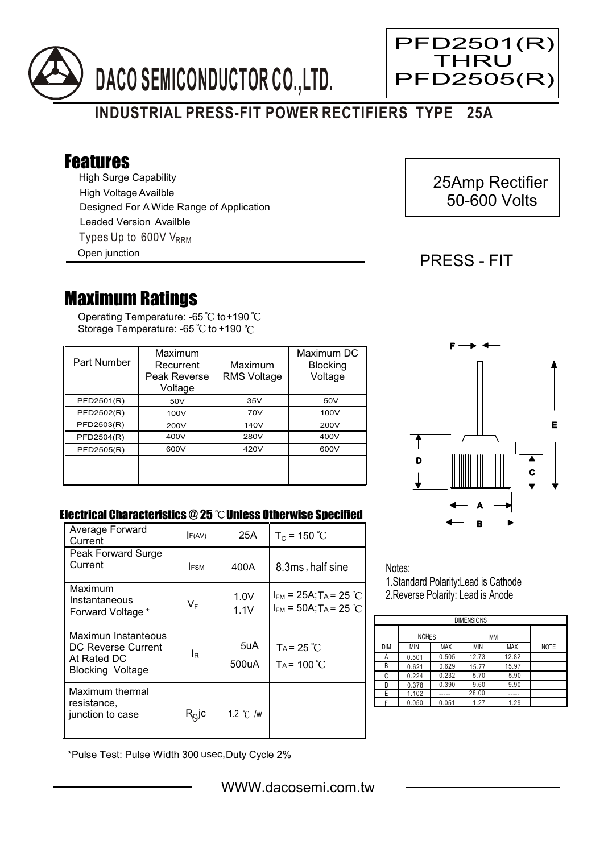



## Features

High Surge Capability Types Up to 600V V<sub>RRM</sub> High Voltage Availble Designed For A Wide Range of Application Leaded Version Availble

Open junction

# 25Amp Rectifier 50-600 Volts

PFD2501(R) **THRU** PFD2505(R)

### PRESS - FIT

Ξ

## Maximum Ratings

Operating Temperature: -65 to +190 Storage Temperature: -65  $\degree$ C to +190  $\degree$ C

| Part Number | Maximum<br>Recurrent<br>Peak Reverse<br>Voltage | Maximum<br><b>RMS Voltage</b> | Maximum DC<br><b>Blocking</b><br>Voltage |
|-------------|-------------------------------------------------|-------------------------------|------------------------------------------|
| PFD2501(R)  | 50V                                             | 35V                           | 50V                                      |
| PFD2502(R)  | 100V                                            | 70V                           | 100V                                     |
| PFD2503(R)  | 200V                                            | 140V                          | 200V                                     |
| PFD2504(R)  | 400V                                            | 280V                          | 400V                                     |
| PFD2505(R)  | 600V                                            | 420V                          | 600V                                     |
|             |                                                 |                               |                                          |
|             |                                                 |                               |                                          |



#### Electrical Characteristics  $@25$   $^{\circ}\text{C}$  Unless Otherwise Specified

| Average Forward<br>Current                                                          | F(AV)                      | 25A                | $T_c$ = 150 °C                                                       |
|-------------------------------------------------------------------------------------|----------------------------|--------------------|----------------------------------------------------------------------|
| Peak Forward Surge<br>Current                                                       | <b>IFSM</b>                | 400A               | 8.3ms, half sine                                                     |
| Maximum<br>Instantaneous<br>Forward Voltage *                                       | $V_{\mathsf{F}}$           | 1.0V<br>1.1V       | $I_{FM}$ = 25A; T <sub>A</sub> = 25 °C<br>$I_{FM}$ = 50A; TA = 25 °C |
| Maximun Instanteous<br>DC Reverse Current<br>At Rated DC<br><b>Blocking Voltage</b> | ΙR                         | 5uA<br>500uA       | $Ta = 25 °C$<br>$Ta = 100^{\circ}C$                                  |
| Maximum thermal<br>resistance.<br>junction to case                                  | $\mathsf{R}^\mathsf{O}$ lc | 1.2 $\degree$ C /w |                                                                      |

Notes: 1.Standard Polarity:Lead is Cathode

2.Reverse Polarity: Lead is Anode

| <b>DIMENSIONS</b> |               |       |       |            |             |  |  |  |
|-------------------|---------------|-------|-------|------------|-------------|--|--|--|
|                   | <b>INCHES</b> |       | ΜМ    |            |             |  |  |  |
| <b>DIM</b>        | MIN           | MAX   | MIN   | <b>MAX</b> | <b>NOTE</b> |  |  |  |
| А                 | 0.501         | 0.505 | 12.73 | 12.82      |             |  |  |  |
| В                 | 0.621         | 0.629 | 15.77 | 15.97      |             |  |  |  |
| C                 | 0.224         | 0.232 | 5.70  | 5.90       |             |  |  |  |
| D                 | 0.378         | 0.390 | 9.60  | 9.90       |             |  |  |  |
| E                 | 1.102         |       | 28.00 |            |             |  |  |  |
|                   | 0.050         | 0.051 | 1.27  | 1.29       |             |  |  |  |

\*Pulse Test: Pulse Width 300 usec,Duty Cycle 2%